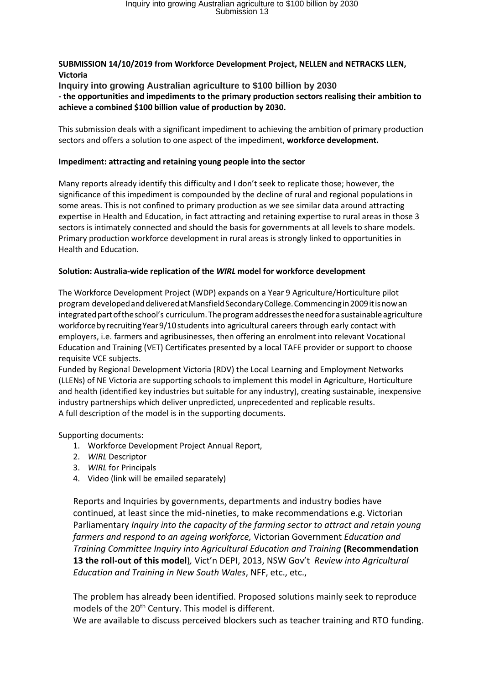## **SUBMISSION 14/10/2019 from Workforce Development Project, NELLEN and NETRACKS LLEN, Victoria**

**Inquiry into growing Australian agriculture to \$100 billion by 2030 - the opportunities and impediments to the primary production sectors realising their ambition to achieve a combined \$100 billion value of production by 2030.**

This submission deals with a significant impediment to achieving the ambition of primary production sectors and offers a solution to one aspect of the impediment, **workforce development.**

## **Impediment: attracting and retaining young people into the sector**

Many reports already identify this difficulty and I don't seek to replicate those; however, the significance of this impediment is compounded by the decline of rural and regional populations in some areas. This is not confined to primary production as we see similar data around attracting expertise in Health and Education, in fact attracting and retaining expertise to rural areas in those 3 sectors is intimately connected and should the basis for governments at all levels to share models. Primary production workforce development in rural areas is strongly linked to opportunities in Health and Education.

## **Solution: Australia-wide replication of the** *WIRL* **model for workforce development**

The Workforce Development Project (WDP) expands on a Year 9 Agriculture/Horticulture pilot program developedanddeliveredatMansfieldSecondaryCollege.Commencingin2009itisnowan integrated part of the school's curriculum. The program addresses the need for a sustainable agriculture workforce by recruiting Year 9/10 students into agricultural careers through early contact with employers, i.e. farmers and agribusinesses, then offering an enrolment into relevant Vocational Education and Training (VET) Certificates presented by a local TAFE provider or support to choose requisite VCE subjects.

Funded by Regional Development Victoria (RDV) the Local Learning and Employment Networks (LLENs) of NE Victoria are supporting schools to implement this model in Agriculture, Horticulture and health (identified key industries but suitable for any industry), creating sustainable, inexpensive industry partnerships which deliver unpredicted, unprecedented and replicable results. A full description of the model is in the supporting documents.

Supporting documents:

- 1. Workforce Development Project Annual Report,
- 2. *WIRL* Descriptor
- 3. *WIRL* for Principals
- 4. Video (link will be emailed separately)

Reports and Inquiries by governments, departments and industry bodies have continued, at least since the mid-nineties, to make recommendations e.g. Victorian Parliamentary *Inquiry into the capacity of the farming sector to attract and retain young farmers and respond to an ageing workforce,* Victorian Government *Education and Training Committee Inquiry into Agricultural Education and Training* **(Recommendation 13 the roll-out of this model**)*,* Vict'n DEPI, 2013, NSW Gov't *Review into Agricultural Education and Training in New South Wales*, NFF, etc., etc.,

The problem has already been identified. Proposed solutions mainly seek to reproduce models of the 20<sup>th</sup> Century. This model is different.

We are available to discuss perceived blockers such as teacher training and RTO funding.